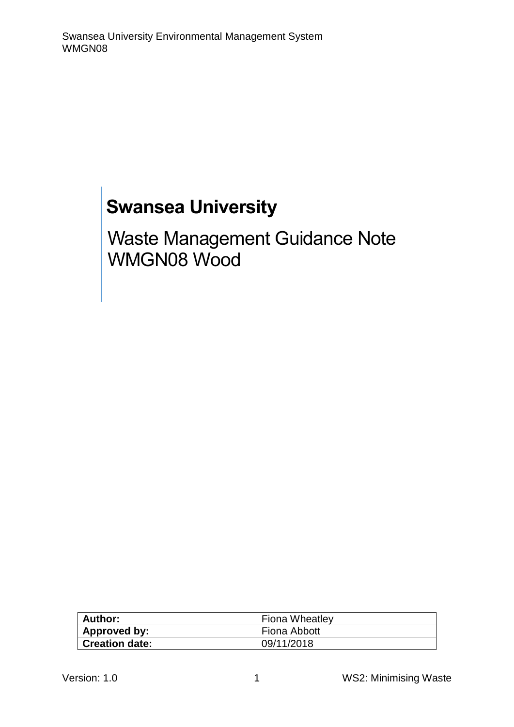# **Swansea University**

Waste Management Guidance Note WMGN08 Wood

| <b>Author:</b>        | <b>Fiona Wheatley</b> |
|-----------------------|-----------------------|
| Approved by:          | Fiona Abbott          |
| <b>Creation date:</b> | 09/11/2018            |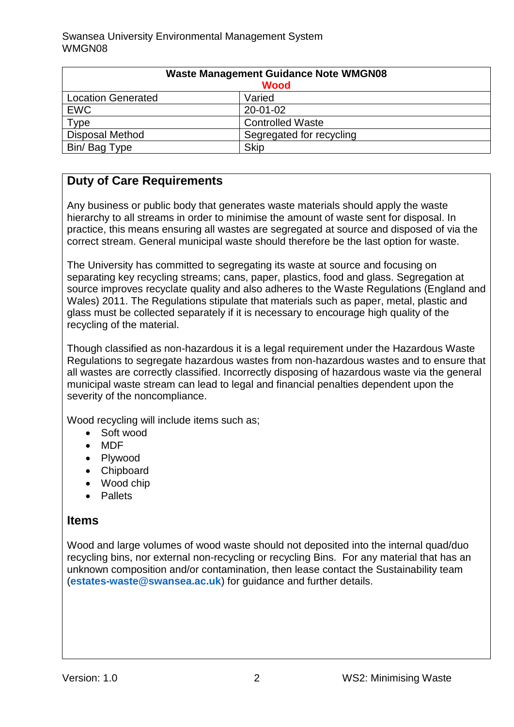| <b>Waste Management Guidance Note WMGN08</b><br><b>Wood</b> |                          |
|-------------------------------------------------------------|--------------------------|
| <b>Location Generated</b>                                   | Varied                   |
| <b>EWC</b>                                                  | 20-01-02                 |
| Type                                                        | <b>Controlled Waste</b>  |
| <b>Disposal Method</b>                                      | Segregated for recycling |
| Bin/ Bag Type                                               | <b>Skip</b>              |

# **Duty of Care Requirements**

Any business or public body that generates waste materials should apply the waste hierarchy to all streams in order to minimise the amount of waste sent for disposal. In practice, this means ensuring all wastes are segregated at source and disposed of via the correct stream. General municipal waste should therefore be the last option for waste.

The University has committed to segregating its waste at source and focusing on separating key recycling streams; cans, paper, plastics, food and glass. Segregation at source improves recyclate quality and also adheres to the Waste Regulations (England and Wales) 2011. The Regulations stipulate that materials such as paper, metal, plastic and glass must be collected separately if it is necessary to encourage high quality of the recycling of the material.

Though classified as non-hazardous it is a legal requirement under the Hazardous Waste Regulations to segregate hazardous wastes from non-hazardous wastes and to ensure that all wastes are correctly classified. Incorrectly disposing of hazardous waste via the general municipal waste stream can lead to legal and financial penalties dependent upon the severity of the noncompliance.

Wood recycling will include items such as;

- Soft wood
- MDF
- Plywood
- Chipboard
- Wood chip
- **•** Pallets

#### **Items**

Wood and large volumes of wood waste should not deposited into the internal quad/duo recycling bins, nor external non-recycling or recycling Bins. For any material that has an unknown composition and/or contamination, then lease contact the Sustainability team (**[estates-waste@swansea.ac.uk](mailto:estates-waste@swansea.ac.uk)**) for guidance and further details.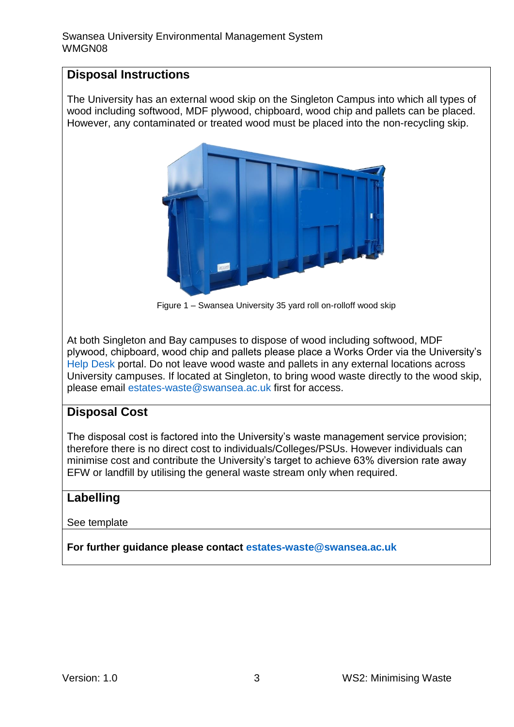## **Disposal Instructions**

The University has an external wood skip on the Singleton Campus into which all types of wood including softwood, MDF plywood, chipboard, wood chip and pallets can be placed. However, any contaminated or treated wood must be placed into the non-recycling skip.



Figure 1 – Swansea University 35 yard roll on-rolloff wood skip

At both Singleton and Bay campuses to dispose of wood including softwood, MDF plywood, chipboard, wood chip and pallets please place a Works Order via the University's [Help Desk](https://quemis.swan.ac.uk/Q2_Live/login) portal. Do not leave wood waste and pallets in any external locations across University campuses. If located at Singleton, to bring wood waste directly to the wood skip, please email [estates-waste@swansea.ac.uk](mailto:estates-waste@swansea.ac.uk) first for access.

### **Disposal Cost**

The disposal cost is factored into the University's waste management service provision; therefore there is no direct cost to individuals/Colleges/PSUs. However individuals can minimise cost and contribute the University's target to achieve 63% diversion rate away EFW or landfill by utilising the general waste stream only when required.

### **Labelling**

See template

**For further guidance please contact [estates-waste@swansea.ac.uk](mailto:estates-waste@swansea.ac.uk)**